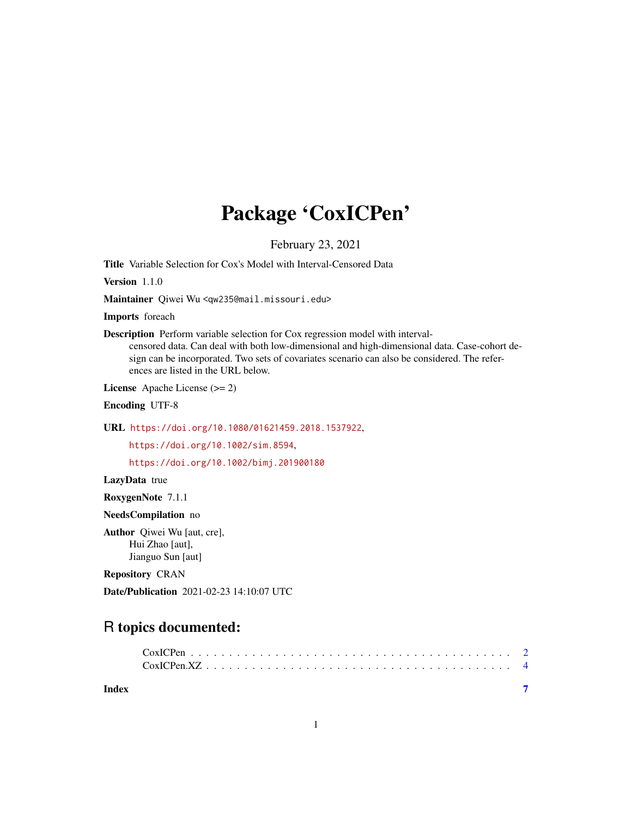## Package 'CoxICPen'

February 23, 2021

Title Variable Selection for Cox's Model with Interval-Censored Data

Version 1.1.0

Maintainer Qiwei Wu <qw235@mail.missouri.edu>

Imports foreach

Description Perform variable selection for Cox regression model with interval-

censored data. Can deal with both low-dimensional and high-dimensional data. Case-cohort design can be incorporated. Two sets of covariates scenario can also be considered. The references are listed in the URL below.

License Apache License (>= 2)

Encoding UTF-8

URL <https://doi.org/10.1080/01621459.2018.1537922>,

<https://doi.org/10.1002/sim.8594>,

<https://doi.org/10.1002/bimj.201900180>

LazyData true

RoxygenNote 7.1.1

NeedsCompilation no

Author Qiwei Wu [aut, cre], Hui Zhao [aut], Jianguo Sun [aut]

Repository CRAN

Date/Publication 2021-02-23 14:10:07 UTC

### R topics documented:

| Index |  |  |  |  |  |  |  |  |  |  |  |  |  |  |  |
|-------|--|--|--|--|--|--|--|--|--|--|--|--|--|--|--|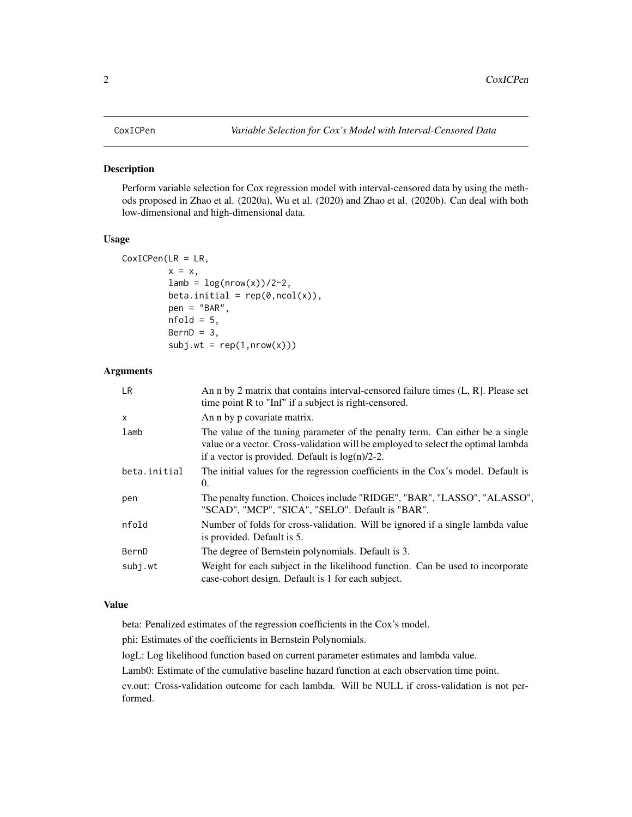#### <span id="page-1-0"></span>Description

Perform variable selection for Cox regression model with interval-censored data by using the methods proposed in Zhao et al. (2020a), Wu et al. (2020) and Zhao et al. (2020b). Can deal with both low-dimensional and high-dimensional data.

#### Usage

```
CoxICPen(LR = LR,
         x = x,
         lamb = log(nrow(x))/2-2,
         beta.initial = rep(\emptyset, ncol(x)),
         pen = "BAR",
         nfold = 5,
         BernD = 3,
         subj.wt = rep(1,nrow(x)))
```
#### Arguments

| <b>LR</b>    | An n by 2 matrix that contains interval-censored failure times (L, R). Please set<br>time point R to "Inf" if a subject is right-censored.                                                                               |
|--------------|--------------------------------------------------------------------------------------------------------------------------------------------------------------------------------------------------------------------------|
| $\mathsf{x}$ | An n by p covariate matrix.                                                                                                                                                                                              |
| lamb         | The value of the tuning parameter of the penalty term. Can either be a single<br>value or a vector. Cross-validation will be employed to select the optimal lambda<br>if a vector is provided. Default is $log(n)/2-2$ . |
| beta.initial | The initial values for the regression coefficients in the Cox's model. Default is<br>0.                                                                                                                                  |
| pen          | The penalty function. Choices include "RIDGE", "BAR", "LASSO", "ALASSO",<br>"SCAD", "MCP", "SICA", "SELO". Default is "BAR".                                                                                             |
| nfold        | Number of folds for cross-validation. Will be ignored if a single lambda value<br>is provided. Default is 5.                                                                                                             |
| BernD        | The degree of Bernstein polynomials. Default is 3.                                                                                                                                                                       |
| subj.wt      | Weight for each subject in the likelihood function. Can be used to incorporate<br>case-cohort design. Default is 1 for each subject.                                                                                     |

#### Value

beta: Penalized estimates of the regression coefficients in the Cox's model.

phi: Estimates of the coefficients in Bernstein Polynomials.

logL: Log likelihood function based on current parameter estimates and lambda value.

Lamb0: Estimate of the cumulative baseline hazard function at each observation time point.

cv.out: Cross-validation outcome for each lambda. Will be NULL if cross-validation is not performed.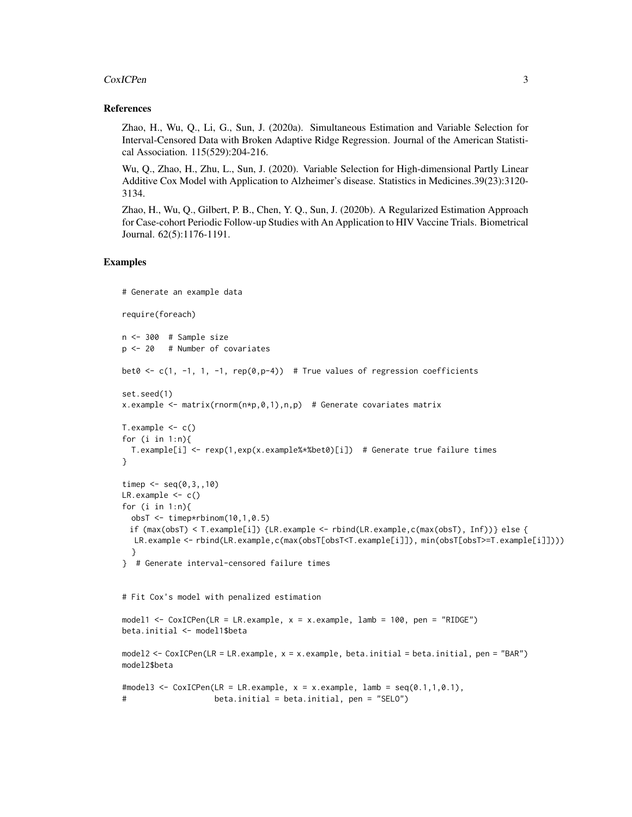#### CoxICPen 3

#### References

Zhao, H., Wu, Q., Li, G., Sun, J. (2020a). Simultaneous Estimation and Variable Selection for Interval-Censored Data with Broken Adaptive Ridge Regression. Journal of the American Statistical Association. 115(529):204-216.

Wu, Q., Zhao, H., Zhu, L., Sun, J. (2020). Variable Selection for High-dimensional Partly Linear Additive Cox Model with Application to Alzheimer's disease. Statistics in Medicines.39(23):3120- 3134.

Zhao, H., Wu, Q., Gilbert, P. B., Chen, Y. Q., Sun, J. (2020b). A Regularized Estimation Approach for Case-cohort Periodic Follow-up Studies with An Application to HIV Vaccine Trials. Biometrical Journal. 62(5):1176-1191.

#### Examples

```
# Generate an example data
require(foreach)
n <- 300 # Sample size
p <- 20 # Number of covariates
bet0 \leq c(1, -1, 1, -1, rep(0,p-4)) # True values of regression coefficients
set.seed(1)
x.example <- matrix(rnorm(n*p, \emptyset, 1),n,p) # Generate covariates matrix
T.example \leq c()
for (i \text{ in } 1:n)T.example[i] <- rexp(1,exp(x.example%*%bet0)[i]) # Generate true failure times
}
timep \leq - seq(0, 3, 10)LR.example \leq -c()for (i in 1:n){
  obsT < -\text{time}rbinom(10,1,0.5)
 if (max(obsT) < T.example[i]) {LR.example <- rbind(LR.example,c(max(obsT), Inf))} else {
  LR.example <- rbind(LR.example,c(max(obsT[obsT<T.example[i]]), min(obsT[obsT>=T.example[i]])))
  }
} # Generate interval-censored failure times
# Fit Cox's model with penalized estimation
model1 <- CoxICPen(LR = LR.example, x = x.example, lamb = 100, pen = "RIDGE")
beta.initial <- model1$beta
model2 <- CoxICPen(LR = LR.example, x = x.example, beta.initial = beta.initial, pen = "BAR")
model2$beta
#model3 <- CoxICPen(LR = LR.example, x = x.example, lamb = seq(0.1,1,0.1),
# beta.initial = beta.initial, pen = "SELO")
```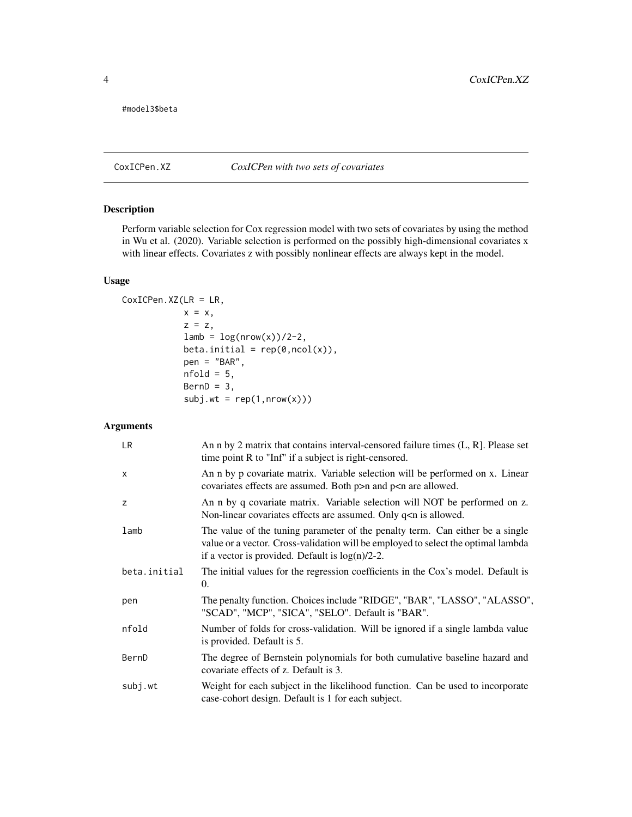<span id="page-3-0"></span>#model3\$beta

#### CoxICPen.XZ *CoxICPen with two sets of covariates*

#### Description

Perform variable selection for Cox regression model with two sets of covariates by using the method in Wu et al. (2020). Variable selection is performed on the possibly high-dimensional covariates x with linear effects. Covariates z with possibly nonlinear effects are always kept in the model.

#### Usage

```
CoxICPen.XZ(LR = LR,
           x = x,
            z = z,
            lamb = log(nrow(x))/2-2,beta.inicial = rep(0, ncol(x)),pen = "BAR",
            nfold = 5,
            BernD = 3,
            subj.wt = rep(1,nrow(x)))
```
#### Arguments

| LR.          | An n by 2 matrix that contains interval-censored failure times $(L, R)$ . Please set<br>time point R to "Inf" if a subject is right-censored.                                                                            |
|--------------|--------------------------------------------------------------------------------------------------------------------------------------------------------------------------------------------------------------------------|
| $\mathsf{x}$ | An n by p covariate matrix. Variable selection will be performed on x. Linear<br>covariates effects are assumed. Both $p>n$ and $p are allowed.$                                                                         |
| z            | An n by q covariate matrix. Variable selection will NOT be performed on z.<br>Non-linear covariates effects are assumed. Only q <n allowed.<="" is="" td=""></n>                                                         |
| lamb         | The value of the tuning parameter of the penalty term. Can either be a single<br>value or a vector. Cross-validation will be employed to select the optimal lambda<br>if a vector is provided. Default is $log(n)/2-2$ . |
| beta.initial | The initial values for the regression coefficients in the Cox's model. Default is<br>0.                                                                                                                                  |
| pen          | The penalty function. Choices include "RIDGE", "BAR", "LASSO", "ALASSO",<br>"SCAD", "MCP", "SICA", "SELO". Default is "BAR".                                                                                             |
| nfold        | Number of folds for cross-validation. Will be ignored if a single lambda value<br>is provided. Default is 5.                                                                                                             |
| BernD        | The degree of Bernstein polynomials for both cumulative baseline hazard and<br>covariate effects of z. Default is 3.                                                                                                     |
| subj.wt      | Weight for each subject in the likelihood function. Can be used to incorporate<br>case-cohort design. Default is 1 for each subject.                                                                                     |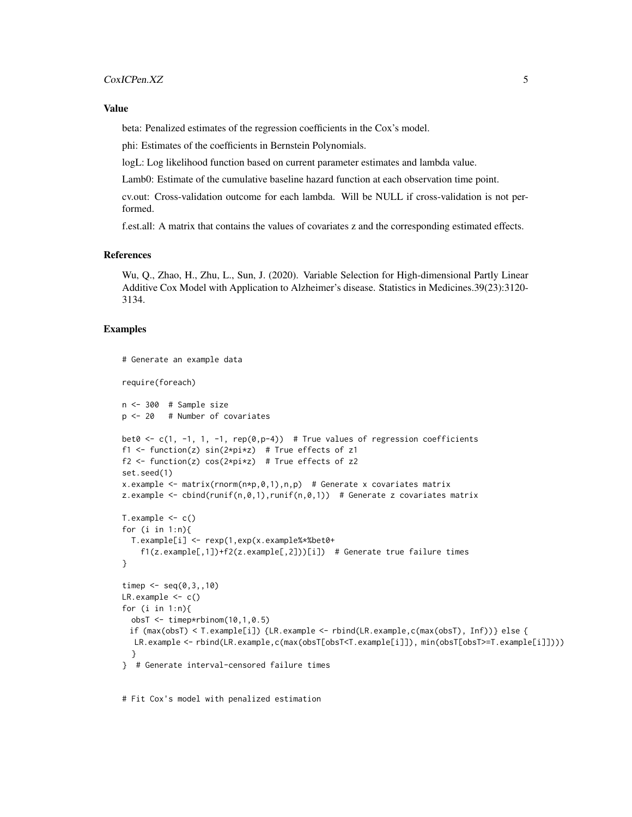#### Value

beta: Penalized estimates of the regression coefficients in the Cox's model.

phi: Estimates of the coefficients in Bernstein Polynomials.

logL: Log likelihood function based on current parameter estimates and lambda value.

Lamb0: Estimate of the cumulative baseline hazard function at each observation time point.

cv.out: Cross-validation outcome for each lambda. Will be NULL if cross-validation is not performed.

f.est.all: A matrix that contains the values of covariates z and the corresponding estimated effects.

#### References

Wu, Q., Zhao, H., Zhu, L., Sun, J. (2020). Variable Selection for High-dimensional Partly Linear Additive Cox Model with Application to Alzheimer's disease. Statistics in Medicines.39(23):3120- 3134.

#### Examples

```
# Generate an example data
require(foreach)
n <- 300 # Sample size
p <- 20 # Number of covariates
bet0 <- c(1, -1, 1, -1, rep(0,p-4)) # True values of regression coefficients
f1 <- function(z) sin(2*pi*z) # True effects of z1
f2 <- function(z) cos(2*pi*z) # True effects of z2
set.seed(1)
x.example \leq matrix(rnorm(n*p,0,1),n,p) # Generate x covariates matrix
z.example \leq cbind(runif(n,0,1),runif(n,0,1)) # Generate z covariates matrix
T.example \leq c()
for (i \text{ in } 1:n)T.example[i] <- rexp(1,exp(x.example%*%bet0+
    f1(z.example[,1])+f2(z.example[,2]))[i]) # Generate true failure times
}
timep \leq - seq(0,3,,10)
LR.example \leq c()
for (i in 1:n){
  obsT \leq t imep*rbinom(10,1,0.5)
 if (max(obsT) < T.example[i]) {LR.example <- rbind(LR.example,c(max(obsT), Inf))} else {
  LR.example <- rbind(LR.example,c(max(obsT[obsT<T.example[i]]), min(obsT[obsT>=T.example[i]])))
  }
} # Generate interval-censored failure times
```
# Fit Cox's model with penalized estimation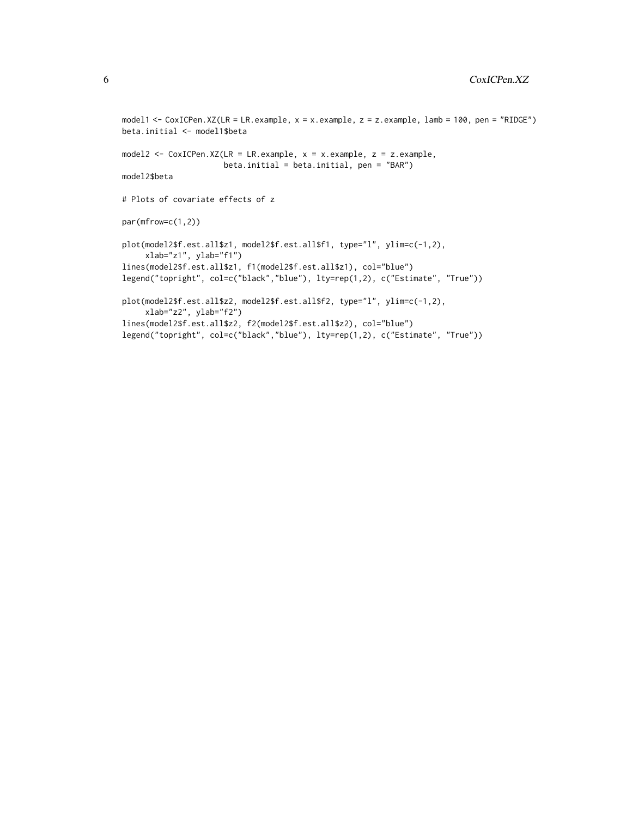```
model1 <- CoxICPen.XZ(LR = LR.example, x = x.example, z = z.example, lamb = 100, pen = "RIDGE")
beta.initial <- model1$beta
model2 <- CoxICPen.XZ(LR = LR.example, x = x.example, z = z.example,
                     beta.initial = beta.initial, pen = "BAR")
model2$beta
# Plots of covariate effects of z
par(mfrow=c(1,2))
plot(model2$f.est.all$z1, model2$f.est.all$f1, type="l", ylim=c(-1,2),
     xlab="z1", ylab="f1")
lines(model2$f.est.all$z1, f1(model2$f.est.all$z1), col="blue")
legend("topright", col=c("black","blue"), lty=rep(1,2), c("Estimate", "True"))
plot(model2$f.est.all$z2, model2$f.est.all$f2, type="l", ylim=c(-1,2),
     xlab="z2", ylab="f2")
lines(model2$f.est.all$z2, f2(model2$f.est.all$z2), col="blue")
legend("topright", col=c("black","blue"), lty=rep(1,2), c("Estimate", "True"))
```